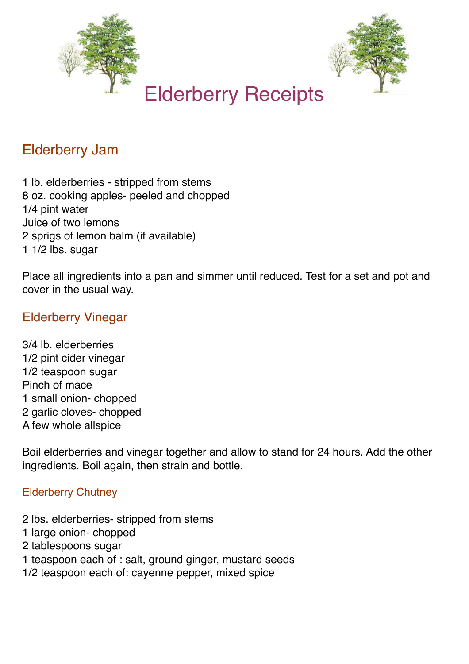



## Elderberry Jam

1 lb. elderberries - stripped from stems 8 oz. cooking apples- peeled and chopped 1/4 pint water Juice of two lemons 2 sprigs of lemon balm (if available) 1 1/2 lbs. sugar

Place all ingredients into a pan and simmer until reduced. Test for a set and pot and cover in the usual way.

## Elderberry Vinegar

3/4 lb. elderberries 1/2 pint cider vinegar 1/2 teaspoon sugar Pinch of mace 1 small onion- chopped 2 garlic cloves- chopped A few whole allspice

Boil elderberries and vinegar together and allow to stand for 24 hours. Add the other ingredients. Boil again, then strain and bottle.

## Elderberry Chutney

- 2 lbs. elderberries- stripped from stems
- 1 large onion- chopped
- 2 tablespoons sugar
- 1 teaspoon each of : salt, ground ginger, mustard seeds
- 1/2 teaspoon each of: cayenne pepper, mixed spice